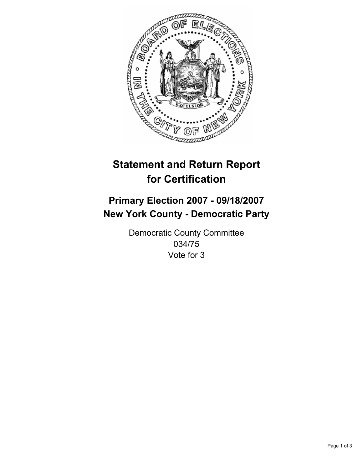

# **Statement and Return Report for Certification**

## **Primary Election 2007 - 09/18/2007 New York County - Democratic Party**

Democratic County Committee 034/75 Vote for 3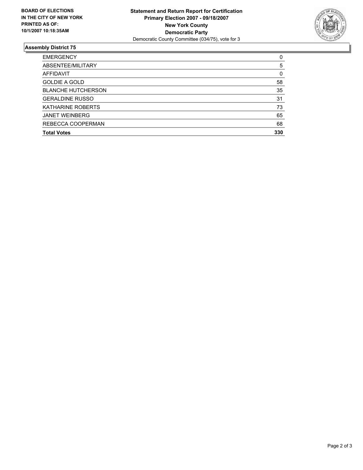

#### **Assembly District 75**

| <b>EMERGENCY</b>          |     |
|---------------------------|-----|
| ABSENTEE/MILITARY         | 5   |
| AFFIDAVIT                 | 0   |
| <b>GOLDIE A GOLD</b>      | 58  |
| <b>BLANCHE HUTCHERSON</b> | 35  |
| <b>GERALDINE RUSSO</b>    | 31  |
| <b>KATHARINE ROBERTS</b>  | 73  |
| <b>JANET WEINBERG</b>     | 65  |
| REBECCA COOPERMAN         | 68  |
| <b>Total Votes</b>        | 330 |
|                           |     |